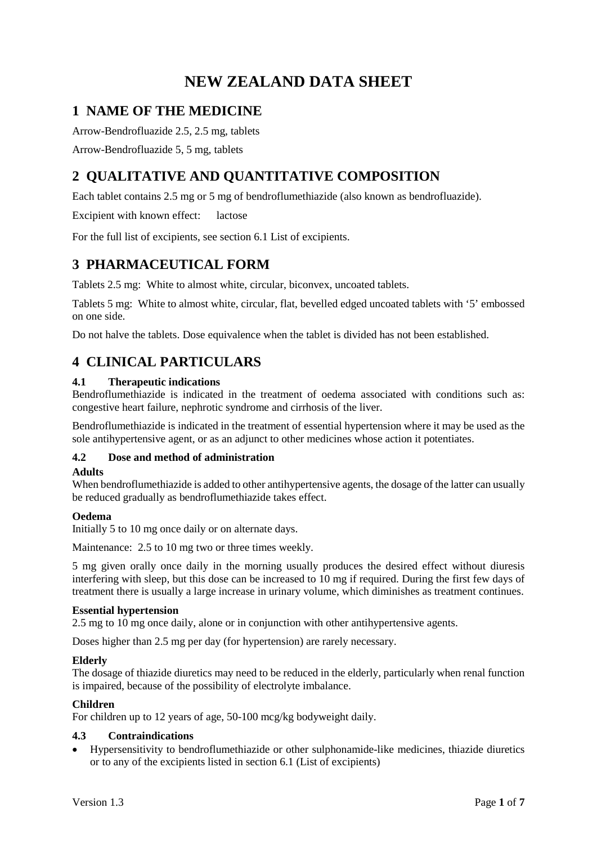# **NEW ZEALAND DATA SHEET**

# **1 NAME OF THE MEDICINE**

Arrow-Bendrofluazide 2.5, 2.5 mg, tablets

Arrow-Bendrofluazide 5, 5 mg, tablets

# **2 QUALITATIVE AND QUANTITATIVE COMPOSITION**

Each tablet contains 2.5 mg or 5 mg of bendroflumethiazide (also known as bendrofluazide).

Excipient with known effect: lactose

For the full list of excipients, see section 6.1 [List of excipients.](#page-5-0)

## **3 PHARMACEUTICAL FORM**

Tablets 2.5 mg: White to almost white, circular, biconvex, uncoated tablets.

Tablets 5 mg: White to almost white, circular, flat, bevelled edged uncoated tablets with '5' embossed on one side.

Do not halve the tablets. Dose equivalence when the tablet is divided has not been established.

## **4 CLINICAL PARTICULARS**

## **4.1 Therapeutic indications**

Bendroflumethiazide is indicated in the treatment of oedema associated with conditions such as: congestive heart failure, nephrotic syndrome and cirrhosis of the liver.

Bendroflumethiazide is indicated in the treatment of essential hypertension where it may be used as the sole antihypertensive agent, or as an adjunct to other medicines whose action it potentiates.

## **4.2 Dose and method of administration**

## **Adults**

When bendroflumethiazide is added to other antihypertensive agents, the dosage of the latter can usually be reduced gradually as bendroflumethiazide takes effect.

## **Oedema**

Initially 5 to 10 mg once daily or on alternate days.

Maintenance: 2.5 to 10 mg two or three times weekly.

5 mg given orally once daily in the morning usually produces the desired effect without diuresis interfering with sleep, but this dose can be increased to 10 mg if required. During the first few days of treatment there is usually a large increase in urinary volume, which diminishes as treatment continues.

## **Essential hypertension**

2.5 mg to 10 mg once daily, alone or in conjunction with other antihypertensive agents.

Doses higher than 2.5 mg per day (for hypertension) are rarely necessary.

## **Elderly**

The dosage of thiazide diuretics may need to be reduced in the elderly, particularly when renal function is impaired, because of the possibility of electrolyte imbalance.

## **Children**

For children up to 12 years of age, 50-100 mcg/kg bodyweight daily.

## **4.3 Contraindications**

• Hypersensitivity to bendroflumethiazide or other sulphonamide-like medicines, thiazide diuretics or to any of the excipients listed in section 6.1 (List of excipients)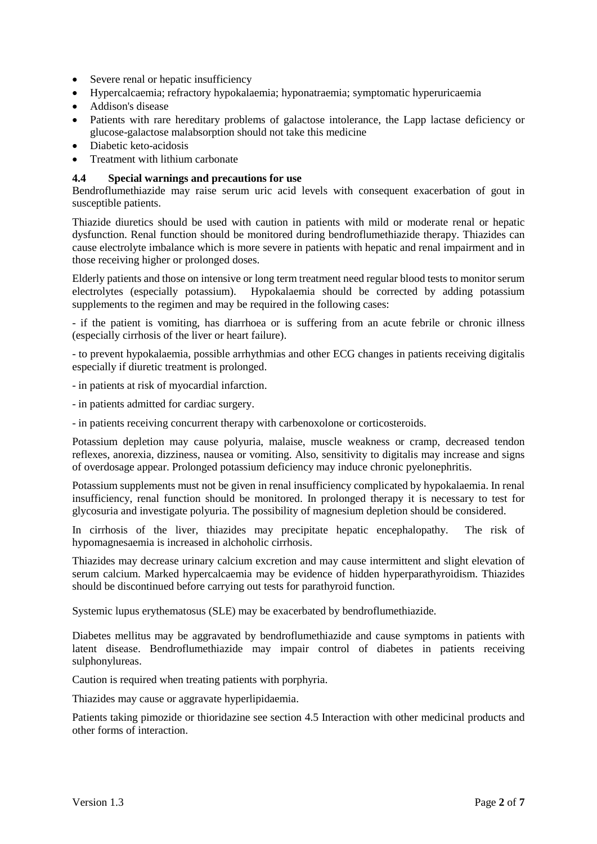- Severe renal or hepatic insufficiency
- Hypercalcaemia; refractory hypokalaemia; hyponatraemia; symptomatic hyperuricaemia
- Addison's disease
- Patients with rare hereditary problems of galactose intolerance, the Lapp lactase deficiency or glucose-galactose malabsorption should not take this medicine
- Diabetic keto-acidosis
- Treatment with lithium carbonate

#### **4.4 Special warnings and precautions for use**

Bendroflumethiazide may raise serum uric acid levels with consequent exacerbation of gout in susceptible patients.

Thiazide diuretics should be used with caution in patients with mild or moderate renal or hepatic dysfunction. Renal function should be monitored during bendroflumethiazide therapy. Thiazides can cause electrolyte imbalance which is more severe in patients with hepatic and renal impairment and in those receiving higher or prolonged doses.

Elderly patients and those on intensive or long term treatment need regular blood tests to monitor serum electrolytes (especially potassium). Hypokalaemia should be corrected by adding potassium supplements to the regimen and may be required in the following cases:

- if the patient is vomiting, has diarrhoea or is suffering from an acute febrile or chronic illness (especially cirrhosis of the liver or heart failure).

- to prevent hypokalaemia, possible arrhythmias and other ECG changes in patients receiving digitalis especially if diuretic treatment is prolonged.

- in patients at risk of myocardial infarction.

- in patients admitted for cardiac surgery.
- in patients receiving concurrent therapy with carbenoxolone or corticosteroids.

Potassium depletion may cause polyuria, malaise, muscle weakness or cramp, decreased tendon reflexes, anorexia, dizziness, nausea or vomiting. Also, sensitivity to digitalis may increase and signs of overdosage appear. Prolonged potassium deficiency may induce chronic pyelonephritis.

Potassium supplements must not be given in renal insufficiency complicated by hypokalaemia. In renal insufficiency, renal function should be monitored. In prolonged therapy it is necessary to test for glycosuria and investigate polyuria. The possibility of magnesium depletion should be considered.

In cirrhosis of the liver, thiazides may precipitate hepatic encephalopathy. The risk of hypomagnesaemia is increased in alchoholic cirrhosis.

Thiazides may decrease urinary calcium excretion and may cause intermittent and slight elevation of serum calcium. Marked hypercalcaemia may be evidence of hidden hyperparathyroidism. Thiazides should be discontinued before carrying out tests for parathyroid function.

Systemic lupus erythematosus (SLE) may be exacerbated by bendroflumethiazide.

Diabetes mellitus may be aggravated by bendroflumethiazide and cause symptoms in patients with latent disease. Bendroflumethiazide may impair control of diabetes in patients receiving sulphonylureas.

Caution is required when treating patients with porphyria.

Thiazides may cause or aggravate hyperlipidaemia.

Patients taking pimozide or thioridazine see section 4.5 Interaction with other medicinal products and other forms of interaction.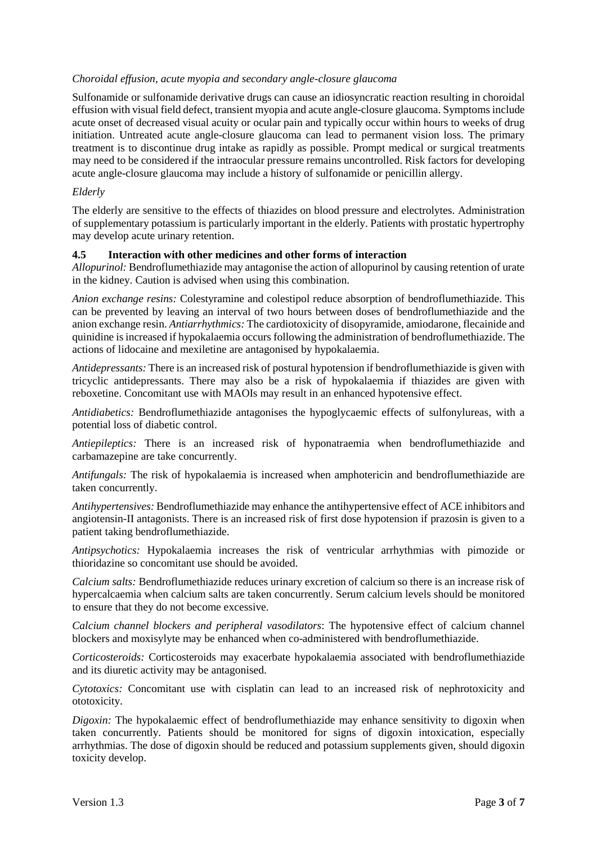#### *Choroidal effusion, acute myopia and secondary angle-closure glaucoma*

Sulfonamide or sulfonamide derivative drugs can cause an idiosyncratic reaction resulting in choroidal effusion with visual field defect, transient myopia and acute angle-closure glaucoma. Symptoms include acute onset of decreased visual acuity or ocular pain and typically occur within hours to weeks of drug initiation. Untreated acute angle-closure glaucoma can lead to permanent vision loss. The primary treatment is to discontinue drug intake as rapidly as possible. Prompt medical or surgical treatments may need to be considered if the intraocular pressure remains uncontrolled. Risk factors for developing acute angle-closure glaucoma may include a history of sulfonamide or penicillin allergy.

#### *Elderly*

The elderly are sensitive to the effects of thiazides on blood pressure and electrolytes. Administration of supplementary potassium is particularly important in the elderly. Patients with prostatic hypertrophy may develop acute urinary retention.

#### **4.5 Interaction with other medicines and other forms of interaction**

*Allopurinol:* Bendroflumethiazide may antagonise the action of allopurinol by causing retention of urate in the kidney. Caution is advised when using this combination.

*Anion exchange resins:* Colestyramine and colestipol reduce absorption of bendroflumethiazide. This can be prevented by leaving an interval of two hours between doses of bendroflumethiazide and the anion exchange resin. *Antiarrhythmics:* The cardiotoxicity of disopyramide, amiodarone, flecainide and quinidine is increased if hypokalaemia occurs following the administration of bendroflumethiazide. The actions of lidocaine and mexiletine are antagonised by hypokalaemia.

*Antidepressants:* There is an increased risk of postural hypotension if bendroflumethiazide is given with tricyclic antidepressants. There may also be a risk of hypokalaemia if thiazides are given with reboxetine. Concomitant use with MAOIs may result in an enhanced hypotensive effect.

*Antidiabetics:* Bendroflumethiazide antagonises the hypoglycaemic effects of sulfonylureas, with a potential loss of diabetic control.

*Antiepileptics:* There is an increased risk of hyponatraemia when bendroflumethiazide and carbamazepine are take concurrently.

*Antifungals:* The risk of hypokalaemia is increased when amphotericin and bendroflumethiazide are taken concurrently.

*Antihypertensives:* Bendroflumethiazide may enhance the antihypertensive effect of ACE inhibitors and angiotensin-II antagonists. There is an increased risk of first dose hypotension if prazosin is given to a patient taking bendroflumethiazide.

*Antipsychotics:* Hypokalaemia increases the risk of ventricular arrhythmias with pimozide or thioridazine so concomitant use should be avoided.

*Calcium salts:* Bendroflumethiazide reduces urinary excretion of calcium so there is an increase risk of hypercalcaemia when calcium salts are taken concurrently. Serum calcium levels should be monitored to ensure that they do not become excessive.

*Calcium channel blockers and peripheral vasodilators*: The hypotensive effect of calcium channel blockers and moxisylyte may be enhanced when co-administered with bendroflumethiazide.

*Corticosteroids:* Corticosteroids may exacerbate hypokalaemia associated with bendroflumethiazide and its diuretic activity may be antagonised.

*Cytotoxics:* Concomitant use with cisplatin can lead to an increased risk of nephrotoxicity and ototoxicity.

*Digoxin:* The hypokalaemic effect of bendroflumethiazide may enhance sensitivity to digoxin when taken concurrently. Patients should be monitored for signs of digoxin intoxication, especially arrhythmias. The dose of digoxin should be reduced and potassium supplements given, should digoxin toxicity develop.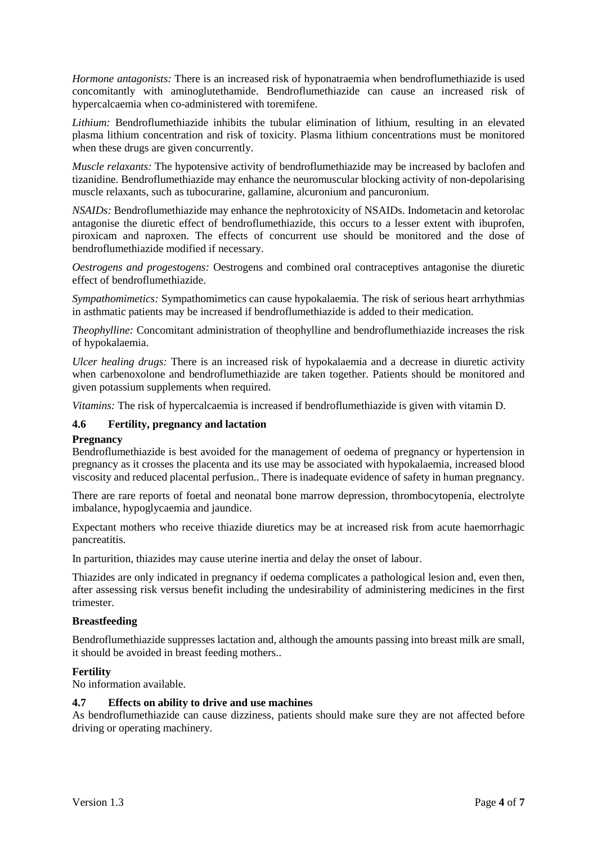*Hormone antagonists:* There is an increased risk of hyponatraemia when bendroflumethiazide is used concomitantly with aminoglutethamide. Bendroflumethiazide can cause an increased risk of hypercalcaemia when co-administered with toremifene.

*Lithium:* Bendroflumethiazide inhibits the tubular elimination of lithium, resulting in an elevated plasma lithium concentration and risk of toxicity. Plasma lithium concentrations must be monitored when these drugs are given concurrently.

*Muscle relaxants:* The hypotensive activity of bendroflumethiazide may be increased by baclofen and tizanidine. Bendroflumethiazide may enhance the neuromuscular blocking activity of non-depolarising muscle relaxants, such as tubocurarine, gallamine, alcuronium and pancuronium.

*NSAIDs:* Bendroflumethiazide may enhance the nephrotoxicity of NSAIDs. Indometacin and ketorolac antagonise the diuretic effect of bendroflumethiazide, this occurs to a lesser extent with ibuprofen, piroxicam and naproxen. The effects of concurrent use should be monitored and the dose of bendroflumethiazide modified if necessary.

*Oestrogens and progestogens:* Oestrogens and combined oral contraceptives antagonise the diuretic effect of bendroflumethiazide.

*Sympathomimetics:* Sympathomimetics can cause hypokalaemia. The risk of serious heart arrhythmias in asthmatic patients may be increased if bendroflumethiazide is added to their medication.

*Theophylline:* Concomitant administration of theophylline and bendroflumethiazide increases the risk of hypokalaemia.

*Ulcer healing drugs:* There is an increased risk of hypokalaemia and a decrease in diuretic activity when carbenoxolone and bendroflumethiazide are taken together. Patients should be monitored and given potassium supplements when required.

*Vitamins:* The risk of hypercalcaemia is increased if bendroflumethiazide is given with vitamin D.

#### **4.6 Fertility, pregnancy and lactation**

#### **Pregnancy**

Bendroflumethiazide is best avoided for the management of oedema of pregnancy or hypertension in pregnancy as it crosses the placenta and its use may be associated with hypokalaemia, increased blood viscosity and reduced placental perfusion.. There is inadequate evidence of safety in human pregnancy.

There are rare reports of foetal and neonatal bone marrow depression, thrombocytopenia, electrolyte imbalance, hypoglycaemia and jaundice.

Expectant mothers who receive thiazide diuretics may be at increased risk from acute haemorrhagic pancreatitis.

In parturition, thiazides may cause uterine inertia and delay the onset of labour.

Thiazides are only indicated in pregnancy if oedema complicates a pathological lesion and, even then, after assessing risk versus benefit including the undesirability of administering medicines in the first trimester.

#### **Breastfeeding**

Bendroflumethiazide suppresses lactation and, although the amounts passing into breast milk are small, it should be avoided in breast feeding mothers..

#### **Fertility**

No information available.

#### **4.7 Effects on ability to drive and use machines**

As bendroflumethiazide can cause dizziness, patients should make sure they are not affected before driving or operating machinery.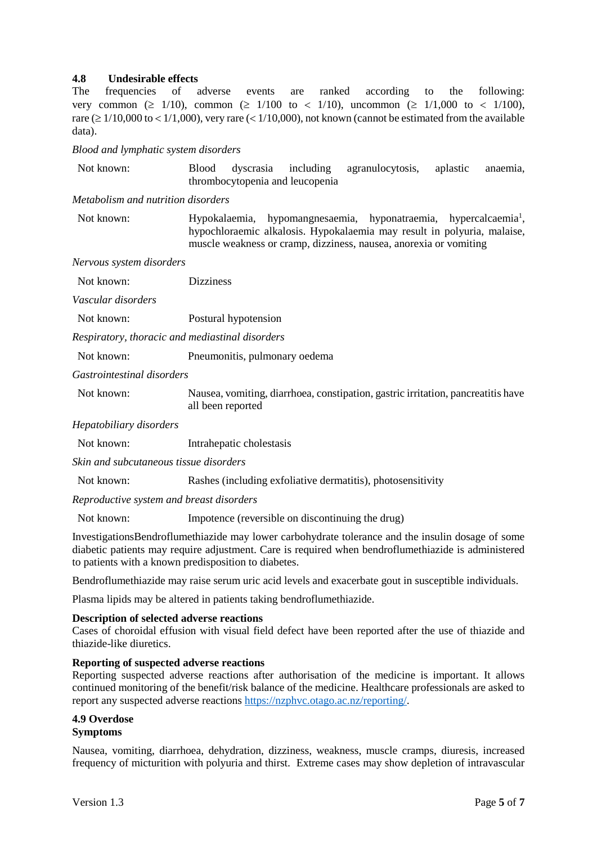#### **4.8 Undesirable effects**

The frequencies of adverse events are ranked according to the following: very common ( $\geq 1/10$ ), common ( $\geq 1/100$  to  $\lt 1/10$ ), uncommon ( $\geq 1/1,000$  to  $\lt 1/100$ ), rare ( $\geq 1/10,000$  to  $\lt 1/1,000$ ), very rare ( $\lt 1/10,000$ ), not known (cannot be estimated from the available data).

*Blood and lymphatic system disorders*

| Not known: |                                 |  |  | Blood dyscrasia including agranulocytosis, aplastic anaemia, |  |
|------------|---------------------------------|--|--|--------------------------------------------------------------|--|
|            | thrombocytopenia and leucopenia |  |  |                                                              |  |

*Metabolism and nutrition disorders*

Not known: Hypokalaemia, hypomangnesaemia, hyponatraemia, hypercalcaemia<sup>1</sup>, hypochloraemic alkalosis. Hypokalaemia may result in polyuria, malaise, muscle weakness or cramp, dizziness, nausea, anorexia or vomiting

*Nervous system disorders*

| Not known:         | <b>Dizziness</b> |
|--------------------|------------------|
| Vascular disorders |                  |

Not known: Postural hypotension

*Respiratory, thoracic and mediastinal disorders*

Not known: Pneumonitis, pulmonary oedema

*Gastrointestinal disorders*

Not known: Nausea, vomiting, diarrhoea, constipation, gastric irritation, pancreatitis have all been reported

*Hepatobiliary disorders*

Not known: Intrahepatic cholestasis

*Skin and subcutaneous tissue disorders*

Not known: Rashes (including exfoliative dermatitis), photosensitivity

*Reproductive system and breast disorders*

Not known: Impotence (reversible on discontinuing the drug)

InvestigationsBendroflumethiazide may lower carbohydrate tolerance and the insulin dosage of some diabetic patients may require adjustment. Care is required when bendroflumethiazide is administered to patients with a known predisposition to diabetes.

Bendroflumethiazide may raise serum uric acid levels and exacerbate gout in susceptible individuals.

Plasma lipids may be altered in patients taking bendroflumethiazide.

#### **Description of selected adverse reactions**

Cases of choroidal effusion with visual field defect have been reported after the use of thiazide and thiazide-like diuretics.

#### **Reporting of suspected adverse reactions**

Reporting suspected adverse reactions after authorisation of the medicine is important. It allows continued monitoring of the benefit/risk balance of the medicine. Healthcare professionals are asked to report any suspected adverse reactions [https://nzphvc.otago.ac.nz/reporting/.](https://nzphvc.otago.ac.nz/reporting/)

#### **4.9 Overdose Symptoms**

Nausea, vomiting, diarrhoea, dehydration, dizziness, weakness, muscle cramps, diuresis, increased frequency of micturition with polyuria and thirst. Extreme cases may show depletion of intravascular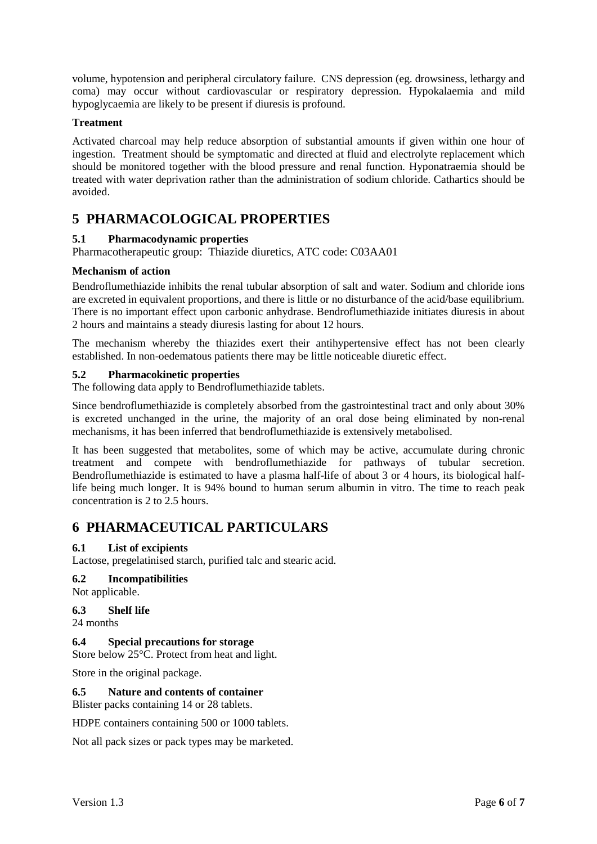volume, hypotension and peripheral circulatory failure. CNS depression (eg. drowsiness, lethargy and coma) may occur without cardiovascular or respiratory depression. Hypokalaemia and mild hypoglycaemia are likely to be present if diuresis is profound.

#### **Treatment**

Activated charcoal may help reduce absorption of substantial amounts if given within one hour of ingestion. Treatment should be symptomatic and directed at fluid and electrolyte replacement which should be monitored together with the blood pressure and renal function. Hyponatraemia should be treated with water deprivation rather than the administration of sodium chloride. Cathartics should be avoided.

## **5 PHARMACOLOGICAL PROPERTIES**

## **5.1 Pharmacodynamic properties**

Pharmacotherapeutic group: Thiazide diuretics, ATC code: C03AA01

## **Mechanism of action**

Bendroflumethiazide inhibits the renal tubular absorption of salt and water. Sodium and chloride ions are excreted in equivalent proportions, and there is little or no disturbance of the acid/base equilibrium. There is no important effect upon carbonic anhydrase. Bendroflumethiazide initiates diuresis in about 2 hours and maintains a steady diuresis lasting for about 12 hours.

The mechanism whereby the thiazides exert their antihypertensive effect has not been clearly established. In non-oedematous patients there may be little noticeable diuretic effect.

#### **5.2 Pharmacokinetic properties**

The following data apply to Bendroflumethiazide tablets.

Since bendroflumethiazide is completely absorbed from the gastrointestinal tract and only about 30% is excreted unchanged in the urine, the majority of an oral dose being eliminated by non-renal mechanisms, it has been inferred that bendroflumethiazide is extensively metabolised.

It has been suggested that metabolites, some of which may be active, accumulate during chronic treatment and compete with bendroflumethiazide for pathways of tubular secretion. Bendroflumethiazide is estimated to have a plasma half-life of about 3 or 4 hours, its biological halflife being much longer. It is 94% bound to human serum albumin in vitro. The time to reach peak concentration is 2 to 2.5 hours.

## **6 PHARMACEUTICAL PARTICULARS**

#### <span id="page-5-0"></span>**6.1 List of excipients**

Lactose, pregelatinised starch, purified talc and stearic acid.

## **6.2 Incompatibilities**

Not applicable.

## **6.3 Shelf life**

24 months

## **6.4 Special precautions for storage**

Store below 25°C. Protect from heat and light.

Store in the original package.

## **6.5 Nature and contents of container**

Blister packs containing 14 or 28 tablets.

HDPE containers containing 500 or 1000 tablets.

Not all pack sizes or pack types may be marketed.